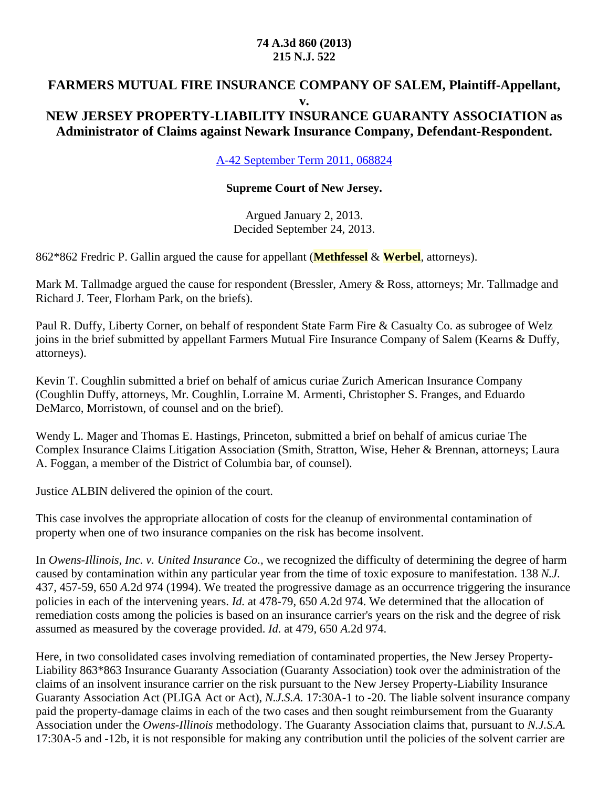#### **74 A.3d 860 (2013) 215 N.J. 522**

#### **FARMERS MUTUAL FIRE INSURANCE COMPANY OF SALEM, Plaintiff-Appellant, v. NEW JERSEY PROPERTY-LIABILITY INSURANCE GUARANTY ASSOCIATION as**

## **Administrator of Claims against Newark Insurance Company, Defendant-Respondent.**

A-42 September Term 2011, 068824

#### **Supreme Court of New Jersey.**

Argued January 2, 2013. Decided September 24, 2013.

862\*862 Fredric P. Gallin argued the cause for appellant (**Methfessel** & **Werbel**, attorneys).

Mark M. Tallmadge argued the cause for respondent (Bressler, Amery & Ross, attorneys; Mr. Tallmadge and Richard J. Teer, Florham Park, on the briefs).

Paul R. Duffy, Liberty Corner, on behalf of respondent State Farm Fire & Casualty Co. as subrogee of Welz joins in the brief submitted by appellant Farmers Mutual Fire Insurance Company of Salem (Kearns & Duffy, attorneys).

Kevin T. Coughlin submitted a brief on behalf of amicus curiae Zurich American Insurance Company (Coughlin Duffy, attorneys, Mr. Coughlin, Lorraine M. Armenti, Christopher S. Franges, and Eduardo DeMarco, Morristown, of counsel and on the brief).

Wendy L. Mager and Thomas E. Hastings, Princeton, submitted a brief on behalf of amicus curiae The Complex Insurance Claims Litigation Association (Smith, Stratton, Wise, Heher & Brennan, attorneys; Laura A. Foggan, a member of the District of Columbia bar, of counsel).

Justice ALBIN delivered the opinion of the court.

This case involves the appropriate allocation of costs for the cleanup of environmental contamination of property when one of two insurance companies on the risk has become insolvent.

In *Owens-Illinois, Inc. v. United Insurance Co.,* we recognized the difficulty of determining the degree of harm caused by contamination within any particular year from the time of toxic exposure to manifestation. 138 *N.J.* 437, 457-59, 650 *A.*2d 974 (1994). We treated the progressive damage as an occurrence triggering the insurance policies in each of the intervening years. *Id.* at 478-79, 650 *A.*2d 974. We determined that the allocation of remediation costs among the policies is based on an insurance carrier's years on the risk and the degree of risk assumed as measured by the coverage provided. *Id.* at 479, 650 *A.*2d 974.

Here, in two consolidated cases involving remediation of contaminated properties, the New Jersey Property-Liability 863\*863 Insurance Guaranty Association (Guaranty Association) took over the administration of the claims of an insolvent insurance carrier on the risk pursuant to the New Jersey Property-Liability Insurance Guaranty Association Act (PLIGA Act or Act), *N.J.S.A.* 17:30A-1 to -20. The liable solvent insurance company paid the property-damage claims in each of the two cases and then sought reimbursement from the Guaranty Association under the *Owens-Illinois* methodology. The Guaranty Association claims that, pursuant to *N.J.S.A.* 17:30A-5 and -12b, it is not responsible for making any contribution until the policies of the solvent carrier are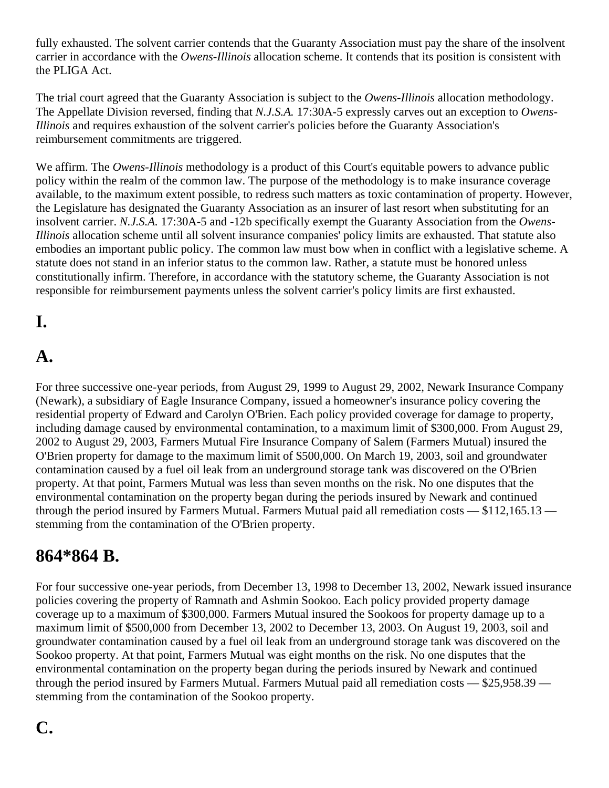fully exhausted. The solvent carrier contends that the Guaranty Association must pay the share of the insolvent carrier in accordance with the *Owens-Illinois* allocation scheme. It contends that its position is consistent with the PLIGA Act.

The trial court agreed that the Guaranty Association is subject to the *Owens-Illinois* allocation methodology. The Appellate Division reversed, finding that *N.J.S.A.* 17:30A-5 expressly carves out an exception to *Owens-Illinois* and requires exhaustion of the solvent carrier's policies before the Guaranty Association's reimbursement commitments are triggered.

We affirm. The *Owens-Illinois* methodology is a product of this Court's equitable powers to advance public policy within the realm of the common law. The purpose of the methodology is to make insurance coverage available, to the maximum extent possible, to redress such matters as toxic contamination of property. However, the Legislature has designated the Guaranty Association as an insurer of last resort when substituting for an insolvent carrier. *N.J.S.A.* 17:30A-5 and -12b specifically exempt the Guaranty Association from the *Owens-Illinois* allocation scheme until all solvent insurance companies' policy limits are exhausted. That statute also embodies an important public policy. The common law must bow when in conflict with a legislative scheme. A statute does not stand in an inferior status to the common law. Rather, a statute must be honored unless constitutionally infirm. Therefore, in accordance with the statutory scheme, the Guaranty Association is not responsible for reimbursement payments unless the solvent carrier's policy limits are first exhausted.

## **I.**

#### **A.**

For three successive one-year periods, from August 29, 1999 to August 29, 2002, Newark Insurance Company (Newark), a subsidiary of Eagle Insurance Company, issued a homeowner's insurance policy covering the residential property of Edward and Carolyn O'Brien. Each policy provided coverage for damage to property, including damage caused by environmental contamination, to a maximum limit of \$300,000. From August 29, 2002 to August 29, 2003, Farmers Mutual Fire Insurance Company of Salem (Farmers Mutual) insured the O'Brien property for damage to the maximum limit of \$500,000. On March 19, 2003, soil and groundwater contamination caused by a fuel oil leak from an underground storage tank was discovered on the O'Brien property. At that point, Farmers Mutual was less than seven months on the risk. No one disputes that the environmental contamination on the property began during the periods insured by Newark and continued through the period insured by Farmers Mutual. Farmers Mutual paid all remediation costs — \$112,165.13 stemming from the contamination of the O'Brien property.

### **864\*864 B.**

For four successive one-year periods, from December 13, 1998 to December 13, 2002, Newark issued insurance policies covering the property of Ramnath and Ashmin Sookoo. Each policy provided property damage coverage up to a maximum of \$300,000. Farmers Mutual insured the Sookoos for property damage up to a maximum limit of \$500,000 from December 13, 2002 to December 13, 2003. On August 19, 2003, soil and groundwater contamination caused by a fuel oil leak from an underground storage tank was discovered on the Sookoo property. At that point, Farmers Mutual was eight months on the risk. No one disputes that the environmental contamination on the property began during the periods insured by Newark and continued through the period insured by Farmers Mutual. Farmers Mutual paid all remediation costs — \$25,958.39 stemming from the contamination of the Sookoo property.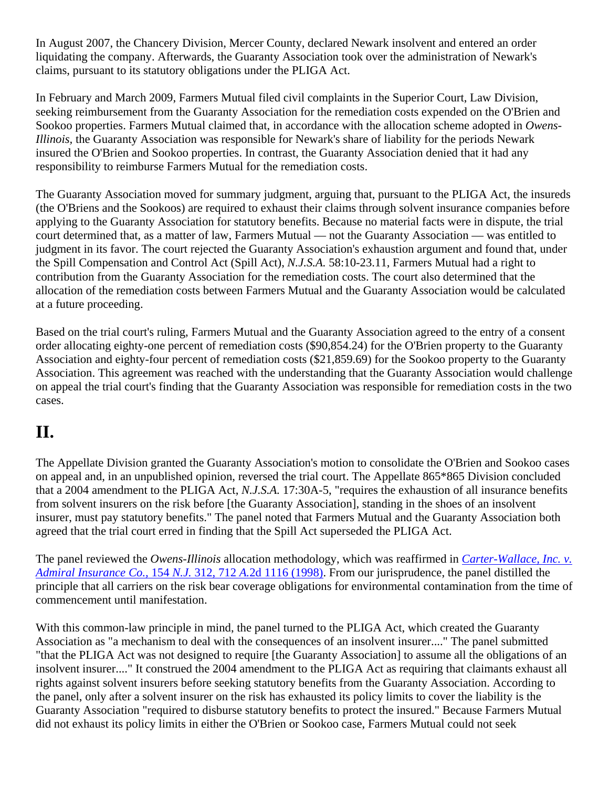In August 2007, the Chancery Division, Mercer County, declared Newark insolvent and entered an order liquidating the company. Afterwards, the Guaranty Association took over the administration of Newark's claims, pursuant to its statutory obligations under the PLIGA Act.

In February and March 2009, Farmers Mutual filed civil complaints in the Superior Court, Law Division, seeking reimbursement from the Guaranty Association for the remediation costs expended on the O'Brien and Sookoo properties. Farmers Mutual claimed that, in accordance with the allocation scheme adopted in *Owens-Illinois,* the Guaranty Association was responsible for Newark's share of liability for the periods Newark insured the O'Brien and Sookoo properties. In contrast, the Guaranty Association denied that it had any responsibility to reimburse Farmers Mutual for the remediation costs.

The Guaranty Association moved for summary judgment, arguing that, pursuant to the PLIGA Act, the insureds (the O'Briens and the Sookoos) are required to exhaust their claims through solvent insurance companies before applying to the Guaranty Association for statutory benefits. Because no material facts were in dispute, the trial court determined that, as a matter of law, Farmers Mutual — not the Guaranty Association — was entitled to judgment in its favor. The court rejected the Guaranty Association's exhaustion argument and found that, under the Spill Compensation and Control Act (Spill Act), *N.J.S.A.* 58:10-23.11, Farmers Mutual had a right to contribution from the Guaranty Association for the remediation costs. The court also determined that the allocation of the remediation costs between Farmers Mutual and the Guaranty Association would be calculated at a future proceeding.

Based on the trial court's ruling, Farmers Mutual and the Guaranty Association agreed to the entry of a consent order allocating eighty-one percent of remediation costs (\$90,854.24) for the O'Brien property to the Guaranty Association and eighty-four percent of remediation costs (\$21,859.69) for the Sookoo property to the Guaranty Association. This agreement was reached with the understanding that the Guaranty Association would challenge on appeal the trial court's finding that the Guaranty Association was responsible for remediation costs in the two cases.

## **II.**

The Appellate Division granted the Guaranty Association's motion to consolidate the O'Brien and Sookoo cases on appeal and, in an unpublished opinion, reversed the trial court. The Appellate 865\*865 Division concluded that a 2004 amendment to the PLIGA Act, *N.J.S.A.* 17:30A-5, "requires the exhaustion of all insurance benefits from solvent insurers on the risk before [the Guaranty Association], standing in the shoes of an insolvent insurer, must pay statutory benefits." The panel noted that Farmers Mutual and the Guaranty Association both agreed that the trial court erred in finding that the Spill Act superseded the PLIGA Act.

The panel reviewed the *Owens-Illinois* allocation methodology, which was reaffirmed in *Carter-Wallace, Inc. v. Admiral Insurance Co.,* 154 *N.J.* 312, 712 *A.*2d 1116 (1998). From our jurisprudence, the panel distilled the principle that all carriers on the risk bear coverage obligations for environmental contamination from the time of commencement until manifestation.

With this common-law principle in mind, the panel turned to the PLIGA Act, which created the Guaranty Association as "a mechanism to deal with the consequences of an insolvent insurer...." The panel submitted "that the PLIGA Act was not designed to require [the Guaranty Association] to assume all the obligations of an insolvent insurer...." It construed the 2004 amendment to the PLIGA Act as requiring that claimants exhaust all rights against solvent insurers before seeking statutory benefits from the Guaranty Association. According to the panel, only after a solvent insurer on the risk has exhausted its policy limits to cover the liability is the Guaranty Association "required to disburse statutory benefits to protect the insured." Because Farmers Mutual did not exhaust its policy limits in either the O'Brien or Sookoo case, Farmers Mutual could not seek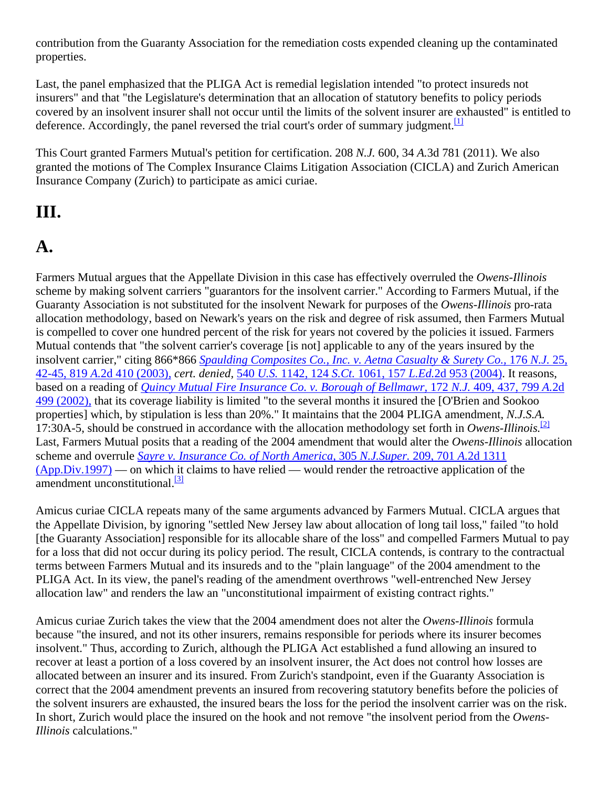contribution from the Guaranty Association for the remediation costs expended cleaning up the contaminated properties.

Last, the panel emphasized that the PLIGA Act is remedial legislation intended "to protect insureds not insurers" and that "the Legislature's determination that an allocation of statutory benefits to policy periods covered by an insolvent insurer shall not occur until the limits of the solvent insurer are exhausted" is entitled to deference. Accordingly, the panel reversed the trial court's order of summary judgment.<sup>[1]</sup>

This Court granted Farmers Mutual's petition for certification. 208 *N.J.* 600, 34 *A.*3d 781 (2011). We also granted the motions of The Complex Insurance Claims Litigation Association (CICLA) and Zurich American Insurance Company (Zurich) to participate as amici curiae.

### **III.**

# **A.**

Farmers Mutual argues that the Appellate Division in this case has effectively overruled the *Owens-Illinois* scheme by making solvent carriers "guarantors for the insolvent carrier." According to Farmers Mutual, if the Guaranty Association is not substituted for the insolvent Newark for purposes of the *Owens-Illinois* pro-rata allocation methodology, based on Newark's years on the risk and degree of risk assumed, then Farmers Mutual is compelled to cover one hundred percent of the risk for years not covered by the policies it issued. Farmers Mutual contends that "the solvent carrier's coverage [is not] applicable to any of the years insured by the insolvent carrier," citing 866\*866 *Spaulding Composites Co., Inc. v. Aetna Casualty & Surety Co.,* 176 *N.J.* 25, 42-45, 819 *A.*2d 410 (2003), *cert. denied,* 540 *U.S.* 1142, 124 *S.Ct.* 1061, 157 *L.Ed.*2d 953 (2004). It reasons, based on a reading of *Quincy Mutual Fire Insurance Co. v. Borough of Bellmawr,* 172 *N.J.* 409, 437, 799 *A.*2d 499 (2002), that its coverage liability is limited "to the several months it insured the [O'Brien and Sookoo properties] which, by stipulation is less than 20%." It maintains that the 2004 PLIGA amendment, *N.J.S.A.* 17:30A-5, should be construed in accordance with the allocation methodology set forth in *Owens-Illinois.*[2] Last, Farmers Mutual posits that a reading of the 2004 amendment that would alter the *Owens-Illinois* allocation scheme and overrule *Sayre v. Insurance Co. of North America,* 305 *N.J.Super.* 209, 701 *A.*2d 1311 (App.Div.1997) — on which it claims to have relied — would render the retroactive application of the amendment unconstitutional.<sup>[3]</sup>

Amicus curiae CICLA repeats many of the same arguments advanced by Farmers Mutual. CICLA argues that the Appellate Division, by ignoring "settled New Jersey law about allocation of long tail loss," failed "to hold [the Guaranty Association] responsible for its allocable share of the loss" and compelled Farmers Mutual to pay for a loss that did not occur during its policy period. The result, CICLA contends, is contrary to the contractual terms between Farmers Mutual and its insureds and to the "plain language" of the 2004 amendment to the PLIGA Act. In its view, the panel's reading of the amendment overthrows "well-entrenched New Jersey allocation law" and renders the law an "unconstitutional impairment of existing contract rights."

Amicus curiae Zurich takes the view that the 2004 amendment does not alter the *Owens-Illinois* formula because "the insured, and not its other insurers, remains responsible for periods where its insurer becomes insolvent." Thus, according to Zurich, although the PLIGA Act established a fund allowing an insured to recover at least a portion of a loss covered by an insolvent insurer, the Act does not control how losses are allocated between an insurer and its insured. From Zurich's standpoint, even if the Guaranty Association is correct that the 2004 amendment prevents an insured from recovering statutory benefits before the policies of the solvent insurers are exhausted, the insured bears the loss for the period the insolvent carrier was on the risk. In short, Zurich would place the insured on the hook and not remove "the insolvent period from the *Owens-Illinois* calculations."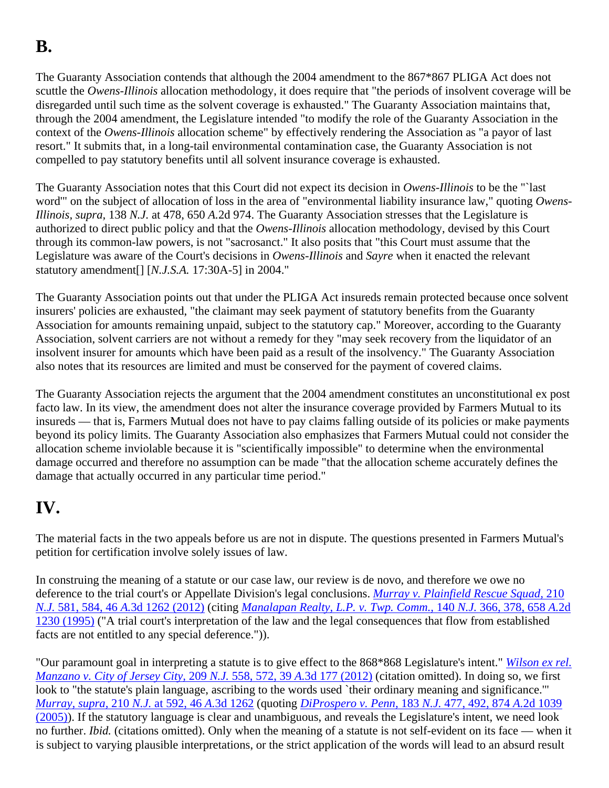# **B.**

The Guaranty Association contends that although the 2004 amendment to the 867\*867 PLIGA Act does not scuttle the *Owens-Illinois* allocation methodology, it does require that "the periods of insolvent coverage will be disregarded until such time as the solvent coverage is exhausted." The Guaranty Association maintains that, through the 2004 amendment, the Legislature intended "to modify the role of the Guaranty Association in the context of the *Owens-Illinois* allocation scheme" by effectively rendering the Association as "a payor of last resort." It submits that, in a long-tail environmental contamination case, the Guaranty Association is not compelled to pay statutory benefits until all solvent insurance coverage is exhausted.

The Guaranty Association notes that this Court did not expect its decision in *Owens-Illinois* to be the "`last word'" on the subject of allocation of loss in the area of "environmental liability insurance law," quoting *Owens-Illinois, supra,* 138 *N.J.* at 478, 650 *A.*2d 974. The Guaranty Association stresses that the Legislature is authorized to direct public policy and that the *Owens-Illinois* allocation methodology, devised by this Court through its common-law powers, is not "sacrosanct." It also posits that "this Court must assume that the Legislature was aware of the Court's decisions in *Owens-Illinois* and *Sayre* when it enacted the relevant statutory amendment[] [*N.J.S.A.* 17:30A-5] in 2004."

The Guaranty Association points out that under the PLIGA Act insureds remain protected because once solvent insurers' policies are exhausted, "the claimant may seek payment of statutory benefits from the Guaranty Association for amounts remaining unpaid, subject to the statutory cap." Moreover, according to the Guaranty Association, solvent carriers are not without a remedy for they "may seek recovery from the liquidator of an insolvent insurer for amounts which have been paid as a result of the insolvency." The Guaranty Association also notes that its resources are limited and must be conserved for the payment of covered claims.

The Guaranty Association rejects the argument that the 2004 amendment constitutes an unconstitutional ex post facto law. In its view, the amendment does not alter the insurance coverage provided by Farmers Mutual to its insureds — that is, Farmers Mutual does not have to pay claims falling outside of its policies or make payments beyond its policy limits. The Guaranty Association also emphasizes that Farmers Mutual could not consider the allocation scheme inviolable because it is "scientifically impossible" to determine when the environmental damage occurred and therefore no assumption can be made "that the allocation scheme accurately defines the damage that actually occurred in any particular time period."

## **IV.**

The material facts in the two appeals before us are not in dispute. The questions presented in Farmers Mutual's petition for certification involve solely issues of law.

In construing the meaning of a statute or our case law, our review is de novo, and therefore we owe no deference to the trial court's or Appellate Division's legal conclusions. *Murray v. Plainfield Rescue Squad,* 210 *N.J.* 581, 584, 46 *A.*3d 1262 (2012) (citing *Manalapan Realty, L.P. v. Twp. Comm.,* 140 *N.J.* 366, 378, 658 *A.*2d 1230 (1995) ("A trial court's interpretation of the law and the legal consequences that flow from established facts are not entitled to any special deference.")).

"Our paramount goal in interpreting a statute is to give effect to the 868\*868 Legislature's intent." *Wilson ex rel. Manzano v. City of Jersey City,* 209 *N.J.* 558, 572, 39 *A.*3d 177 (2012) (citation omitted). In doing so, we first look to "the statute's plain language, ascribing to the words used `their ordinary meaning and significance." *Murray, supra,* 210 *N.J.* at 592, 46 *A.*3d 1262 (quoting *DiProspero v. Penn,* 183 *N.J.* 477, 492, 874 *A.*2d 1039 (2005)). If the statutory language is clear and unambiguous, and reveals the Legislature's intent, we need look no further. *Ibid.* (citations omitted). Only when the meaning of a statute is not self-evident on its face — when it is subject to varying plausible interpretations, or the strict application of the words will lead to an absurd result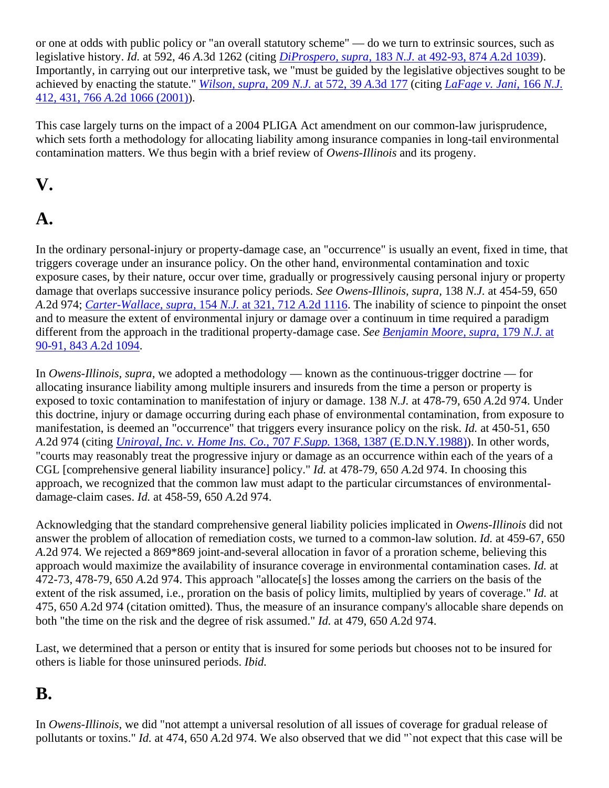or one at odds with public policy or "an overall statutory scheme" — do we turn to extrinsic sources, such as legislative history. *Id.* at 592, 46 *A.*3d 1262 (citing *DiProspero, supra,* 183 *N.J.* at 492-93, 874 *A.*2d 1039). Importantly, in carrying out our interpretive task, we "must be guided by the legislative objectives sought to be achieved by enacting the statute." *Wilson, supra,* 209 *N.J.* at 572, 39 *A.*3d 177 (citing *LaFage v. Jani,* 166 *N.J.* 412, 431, 766 *A.*2d 1066 (2001)).

This case largely turns on the impact of a 2004 PLIGA Act amendment on our common-law jurisprudence, which sets forth a methodology for allocating liability among insurance companies in long-tail environmental contamination matters. We thus begin with a brief review of *Owens-Illinois* and its progeny.

## **V.**

# **A.**

In the ordinary personal-injury or property-damage case, an "occurrence" is usually an event, fixed in time, that triggers coverage under an insurance policy. On the other hand, environmental contamination and toxic exposure cases, by their nature, occur over time, gradually or progressively causing personal injury or property damage that overlaps successive insurance policy periods. *See Owens-Illinois, supra,* 138 *N.J.* at 454-59, 650 *A.*2d 974; *Carter-Wallace, supra,* 154 *N.J.* at 321, 712 *A.*2d 1116. The inability of science to pinpoint the onset and to measure the extent of environmental injury or damage over a continuum in time required a paradigm different from the approach in the traditional property-damage case. *See Benjamin Moore, supra,* 179 *N.J.* at 90-91, 843 *A.*2d 1094.

In *Owens-Illinois, supra,* we adopted a methodology — known as the continuous-trigger doctrine — for allocating insurance liability among multiple insurers and insureds from the time a person or property is exposed to toxic contamination to manifestation of injury or damage. 138 *N.J.* at 478-79, 650 *A.*2d 974. Under this doctrine, injury or damage occurring during each phase of environmental contamination, from exposure to manifestation, is deemed an "occurrence" that triggers every insurance policy on the risk. *Id.* at 450-51, 650 *A.*2d 974 (citing *Uniroyal, Inc. v. Home Ins. Co.,* 707 *F.Supp.* 1368, 1387 (E.D.N.Y.1988)). In other words, "courts may reasonably treat the progressive injury or damage as an occurrence within each of the years of a CGL [comprehensive general liability insurance] policy." *Id.* at 478-79, 650 *A.*2d 974. In choosing this approach, we recognized that the common law must adapt to the particular circumstances of environmentaldamage-claim cases. *Id.* at 458-59, 650 *A.*2d 974.

Acknowledging that the standard comprehensive general liability policies implicated in *Owens-Illinois* did not answer the problem of allocation of remediation costs, we turned to a common-law solution. *Id.* at 459-67, 650 *A.*2d 974. We rejected a 869\*869 joint-and-several allocation in favor of a proration scheme, believing this approach would maximize the availability of insurance coverage in environmental contamination cases. *Id.* at 472-73, 478-79, 650 *A.*2d 974. This approach "allocate[s] the losses among the carriers on the basis of the extent of the risk assumed, i.e., proration on the basis of policy limits, multiplied by years of coverage." *Id.* at 475, 650 *A.*2d 974 (citation omitted). Thus, the measure of an insurance company's allocable share depends on both "the time on the risk and the degree of risk assumed." *Id.* at 479, 650 *A.*2d 974.

Last, we determined that a person or entity that is insured for some periods but chooses not to be insured for others is liable for those uninsured periods. *Ibid.*

### **B.**

In *Owens-Illinois,* we did "not attempt a universal resolution of all issues of coverage for gradual release of pollutants or toxins." *Id.* at 474, 650 *A.*2d 974. We also observed that we did "`not expect that this case will be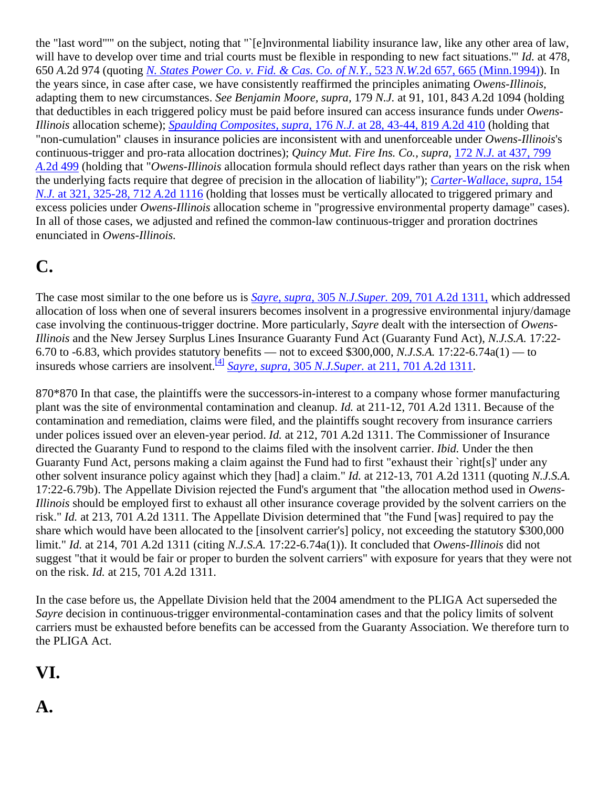the "last word"'" on the subject, noting that "`[e]nvironmental liability insurance law, like any other area of law, will have to develop over time and trial courts must be flexible in responding to new fact situations.'" *Id.* at 478, 650 *A.*2d 974 (quoting *N. States Power Co. v. Fid. & Cas. Co. of N.Y.,* 523 *N.W.*2d 657, 665 (Minn.1994)). In the years since, in case after case, we have consistently reaffirmed the principles animating *Owens-Illinois,* adapting them to new circumstances. *See Benjamin Moore, supra,* 179 *N.J.* at 91, 101, 843 *A.*2d 1094 (holding that deductibles in each triggered policy must be paid before insured can access insurance funds under *Owens-Illinois* allocation scheme); *Spaulding Composites, supra,* 176 *N.J.* at 28, 43-44, 819 *A.*2d 410 (holding that "non-cumulation" clauses in insurance policies are inconsistent with and unenforceable under *Owens-Illinois*'s continuous-trigger and pro-rata allocation doctrines); *Quincy Mut. Fire Ins. Co., supra,* 172 *N.J.* at 437, 799 *A.*2d 499 (holding that "*Owens-Illinois* allocation formula should reflect days rather than years on the risk when the underlying facts require that degree of precision in the allocation of liability"); *Carter-Wallace, supra,* 154 *N.J.* at 321, 325-28, 712 *A.*2d 1116 (holding that losses must be vertically allocated to triggered primary and excess policies under *Owens-Illinois* allocation scheme in "progressive environmental property damage" cases). In all of those cases, we adjusted and refined the common-law continuous-trigger and proration doctrines enunciated in *Owens-Illinois.*

# **C.**

The case most similar to the one before us is *Sayre, supra,* 305 *N.J.Super.* 209, 701 *A.*2d 1311, which addressed allocation of loss when one of several insurers becomes insolvent in a progressive environmental injury/damage case involving the continuous-trigger doctrine. More particularly, *Sayre* dealt with the intersection of *Owens-Illinois* and the New Jersey Surplus Lines Insurance Guaranty Fund Act (Guaranty Fund Act), *N.J.S.A.* 17:22- 6.70 to -6.83, which provides statutory benefits — not to exceed \$300,000, *N.J.S.A.* 17:22-6.74a(1) — to insureds whose carriers are insolvent.[4] *Sayre, supra,* 305 *N.J.Super.* at 211, 701 *A.*2d 1311.

870\*870 In that case, the plaintiffs were the successors-in-interest to a company whose former manufacturing plant was the site of environmental contamination and cleanup. *Id.* at 211-12, 701 *A.*2d 1311. Because of the contamination and remediation, claims were filed, and the plaintiffs sought recovery from insurance carriers under polices issued over an eleven-year period. *Id.* at 212, 701 *A.*2d 1311. The Commissioner of Insurance directed the Guaranty Fund to respond to the claims filed with the insolvent carrier. *Ibid.* Under the then Guaranty Fund Act, persons making a claim against the Fund had to first "exhaust their `right[s]' under any other solvent insurance policy against which they [had] a claim." *Id.* at 212-13, 701 *A.*2d 1311 (quoting *N.J.S.A.* 17:22-6.79b). The Appellate Division rejected the Fund's argument that "the allocation method used in *Owens-Illinois* should be employed first to exhaust all other insurance coverage provided by the solvent carriers on the risk." *Id.* at 213, 701 *A.*2d 1311. The Appellate Division determined that "the Fund [was] required to pay the share which would have been allocated to the [insolvent carrier's] policy, not exceeding the statutory \$300,000 limit." *Id.* at 214, 701 *A.*2d 1311 (citing *N.J.S.A.* 17:22-6.74a(1)). It concluded that *Owens-Illinois* did not suggest "that it would be fair or proper to burden the solvent carriers" with exposure for years that they were not on the risk. *Id.* at 215, 701 *A.*2d 1311.

In the case before us, the Appellate Division held that the 2004 amendment to the PLIGA Act superseded the *Sayre* decision in continuous-trigger environmental-contamination cases and that the policy limits of solvent carriers must be exhausted before benefits can be accessed from the Guaranty Association. We therefore turn to the PLIGA Act.

## **VI.**

#### **A.**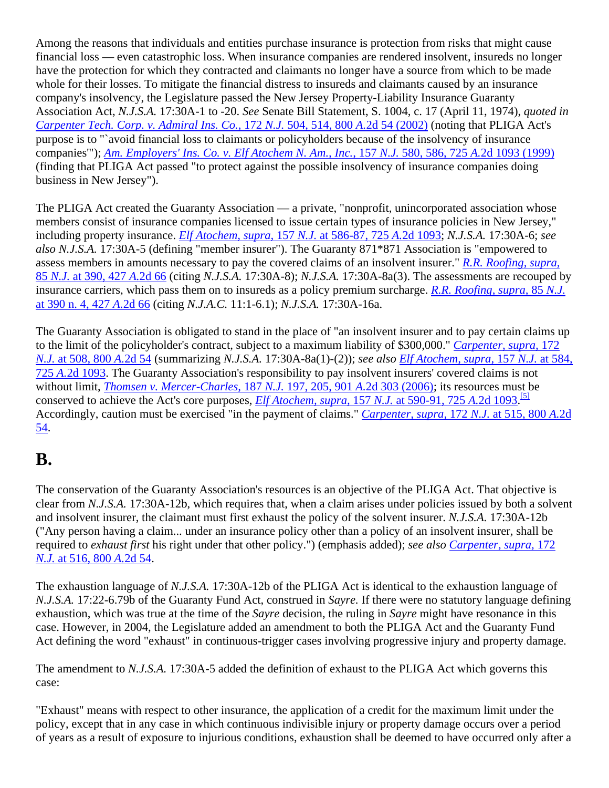Among the reasons that individuals and entities purchase insurance is protection from risks that might cause financial loss — even catastrophic loss. When insurance companies are rendered insolvent, insureds no longer have the protection for which they contracted and claimants no longer have a source from which to be made whole for their losses. To mitigate the financial distress to insureds and claimants caused by an insurance company's insolvency, the Legislature passed the New Jersey Property-Liability Insurance Guaranty Association Act, *N.J.S.A.* 17:30A-1 to -20. *See* Senate Bill Statement, S. 1004, c. 17 (April 11, 1974), *quoted in Carpenter Tech. Corp. v. Admiral Ins. Co.,* 172 *N.J.* 504, 514, 800 *A.*2d 54 (2002) (noting that PLIGA Act's purpose is to "`avoid financial loss to claimants or policyholders because of the insolvency of insurance companies'"); *Am. Employers' Ins. Co. v. Elf Atochem N. Am., Inc.,* 157 *N.J.* 580, 586, 725 *A.*2d 1093 (1999) (finding that PLIGA Act passed "to protect against the possible insolvency of insurance companies doing business in New Jersey").

The PLIGA Act created the Guaranty Association — a private, "nonprofit, unincorporated association whose members consist of insurance companies licensed to issue certain types of insurance policies in New Jersey," including property insurance. *Elf Atochem, supra,* 157 *N.J.* at 586-87, 725 *A.*2d 1093; *N.J.S.A.* 17:30A-6; *see also N.J.S.A.* 17:30A-5 (defining "member insurer"). The Guaranty 871\*871 Association is "empowered to assess members in amounts necessary to pay the covered claims of an insolvent insurer." *R.R. Roofing, supra,* 85 *N.J.* at 390, 427 *A.*2d 66 (citing *N.J.S.A.* 17:30A-8); *N.J.S.A.* 17:30A-8a(3). The assessments are recouped by insurance carriers, which pass them on to insureds as a policy premium surcharge. *R.R. Roofing, supra,* 85 *N.J.* at 390 n. 4, 427 *A.*2d 66 (citing *N.J.A.C.* 11:1-6.1); *N.J.S.A.* 17:30A-16a.

The Guaranty Association is obligated to stand in the place of "an insolvent insurer and to pay certain claims up to the limit of the policyholder's contract, subject to a maximum liability of \$300,000." *Carpenter, supra,* 172 *N.J.* at 508, 800 *A.*2d 54 (summarizing *N.J.S.A.* 17:30A-8a(1)-(2)); *see also Elf Atochem, supra,* 157 *N.J.* at 584, 725 *A.*2d 1093. The Guaranty Association's responsibility to pay insolvent insurers' covered claims is not without limit, *Thomsen v. Mercer-Charles,* 187 *N.J.* 197, 205, 901 *A.*2d 303 (2006); its resources must be conserved to achieve the Act's core purposes, *Elf Atochem, supra,* 157 *N.J.* at 590-91, 725 *A.*2d 1093. [5] Accordingly, caution must be exercised "in the payment of claims." *Carpenter, supra,* 172 *N.J.* at 515, 800 *A.*2d 54.

#### **B.**

The conservation of the Guaranty Association's resources is an objective of the PLIGA Act. That objective is clear from *N.J.S.A.* 17:30A-12b, which requires that, when a claim arises under policies issued by both a solvent and insolvent insurer, the claimant must first exhaust the policy of the solvent insurer. *N.J.S.A.* 17:30A-12b ("Any person having a claim... under an insurance policy other than a policy of an insolvent insurer, shall be required to *exhaust first* his right under that other policy.") (emphasis added); *see also Carpenter, supra,* 172 *N.J.* at 516, 800 *A.*2d 54.

The exhaustion language of *N.J.S.A.* 17:30A-12b of the PLIGA Act is identical to the exhaustion language of *N.J.S.A.* 17:22-6.79b of the Guaranty Fund Act, construed in *Sayre.* If there were no statutory language defining exhaustion, which was true at the time of the *Sayre* decision, the ruling in *Sayre* might have resonance in this case. However, in 2004, the Legislature added an amendment to both the PLIGA Act and the Guaranty Fund Act defining the word "exhaust" in continuous-trigger cases involving progressive injury and property damage.

The amendment to *N.J.S.A.* 17:30A-5 added the definition of exhaust to the PLIGA Act which governs this case:

"Exhaust" means with respect to other insurance, the application of a credit for the maximum limit under the policy, except that in any case in which continuous indivisible injury or property damage occurs over a period of years as a result of exposure to injurious conditions, exhaustion shall be deemed to have occurred only after a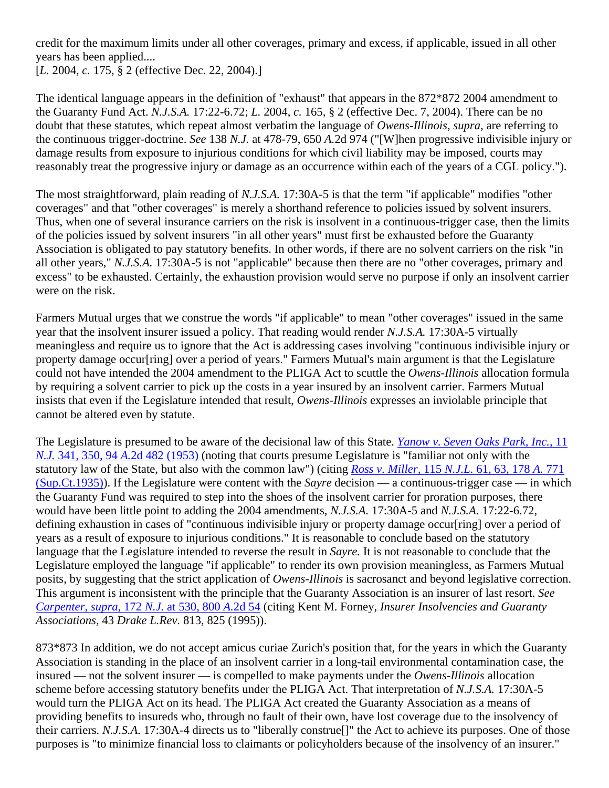credit for the maximum limits under all other coverages, primary and excess, if applicable, issued in all other years has been applied....

[*L.* 2004, *c.* 175, § 2 (effective Dec. 22, 2004).]

The identical language appears in the definition of "exhaust" that appears in the 872\*872 2004 amendment to the Guaranty Fund Act. *N.J.S.A.* 17:22-6.72; *L.* 2004, *c.* 165, § 2 (effective Dec. 7, 2004). There can be no doubt that these statutes, which repeat almost verbatim the language of *Owens-Illinois, supra,* are referring to the continuous trigger-doctrine. *See* 138 *N.J.* at 478-79, 650 *A.*2d 974 ("[W]hen progressive indivisible injury or damage results from exposure to injurious conditions for which civil liability may be imposed, courts may reasonably treat the progressive injury or damage as an occurrence within each of the years of a CGL policy.").

The most straightforward, plain reading of *N.J.S.A.* 17:30A-5 is that the term "if applicable" modifies "other coverages" and that "other coverages" is merely a shorthand reference to policies issued by solvent insurers. Thus, when one of several insurance carriers on the risk is insolvent in a continuous-trigger case, then the limits of the policies issued by solvent insurers "in all other years" must first be exhausted before the Guaranty Association is obligated to pay statutory benefits. In other words, if there are no solvent carriers on the risk "in all other years," *N.J.S.A.* 17:30A-5 is not "applicable" because then there are no "other coverages, primary and excess" to be exhausted. Certainly, the exhaustion provision would serve no purpose if only an insolvent carrier were on the risk.

Farmers Mutual urges that we construe the words "if applicable" to mean "other coverages" issued in the same year that the insolvent insurer issued a policy. That reading would render *N.J.S.A.* 17:30A-5 virtually meaningless and require us to ignore that the Act is addressing cases involving "continuous indivisible injury or property damage occur[ring] over a period of years." Farmers Mutual's main argument is that the Legislature could not have intended the 2004 amendment to the PLIGA Act to scuttle the *Owens-Illinois* allocation formula by requiring a solvent carrier to pick up the costs in a year insured by an insolvent carrier. Farmers Mutual insists that even if the Legislature intended that result, *Owens-Illinois* expresses an inviolable principle that cannot be altered even by statute.

The Legislature is presumed to be aware of the decisional law of this State. *Yanow v. Seven Oaks Park, Inc.,* 11 *N.J.* 341, 350, 94 *A.*2d 482 (1953) (noting that courts presume Legislature is "familiar not only with the statutory law of the State, but also with the common law") (citing *Ross v. Miller,* 115 *N.J.L.* 61, 63, 178 *A.* 771 (Sup.Ct.1935)). If the Legislature were content with the *Sayre* decision — a continuous-trigger case — in which the Guaranty Fund was required to step into the shoes of the insolvent carrier for proration purposes, there would have been little point to adding the 2004 amendments, *N.J.S.A.* 17:30A-5 and *N.J.S.A.* 17:22-6.72, defining exhaustion in cases of "continuous indivisible injury or property damage occur[ring] over a period of years as a result of exposure to injurious conditions." It is reasonable to conclude based on the statutory language that the Legislature intended to reverse the result in *Sayre.* It is not reasonable to conclude that the Legislature employed the language "if applicable" to render its own provision meaningless, as Farmers Mutual posits, by suggesting that the strict application of *Owens-Illinois* is sacrosanct and beyond legislative correction. This argument is inconsistent with the principle that the Guaranty Association is an insurer of last resort. *See Carpenter, supra,* 172 *N.J.* at 530, 800 *A.*2d 54 (citing Kent M. Forney, *Insurer Insolvencies and Guaranty Associations,* 43 *Drake L.Rev.* 813, 825 (1995)).

873\*873 In addition, we do not accept amicus curiae Zurich's position that, for the years in which the Guaranty Association is standing in the place of an insolvent carrier in a long-tail environmental contamination case, the insured — not the solvent insurer — is compelled to make payments under the *Owens-Illinois* allocation scheme before accessing statutory benefits under the PLIGA Act. That interpretation of *N.J.S.A.* 17:30A-5 would turn the PLIGA Act on its head. The PLIGA Act created the Guaranty Association as a means of providing benefits to insureds who, through no fault of their own, have lost coverage due to the insolvency of their carriers. *N.J.S.A.* 17:30A-4 directs us to "liberally construe[]" the Act to achieve its purposes. One of those purposes is "to minimize financial loss to claimants or policyholders because of the insolvency of an insurer."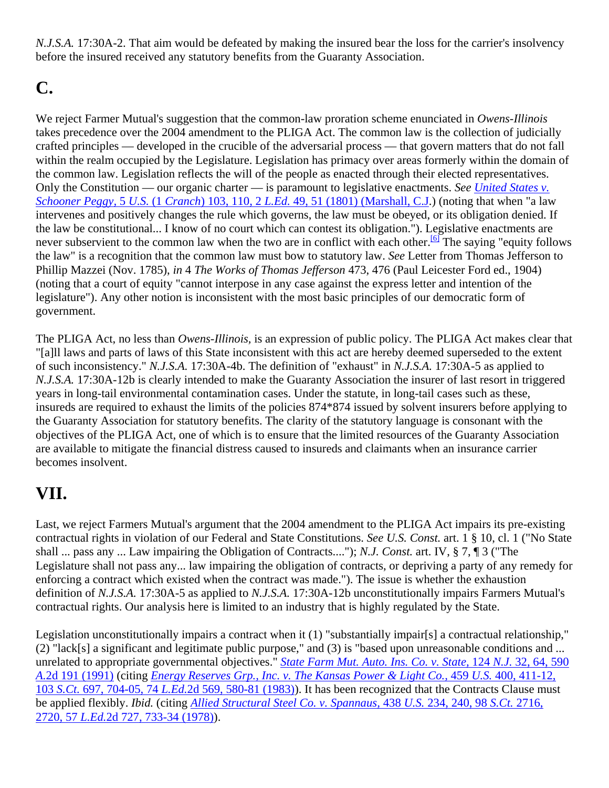*N.J.S.A.* 17:30A-2. That aim would be defeated by making the insured bear the loss for the carrier's insolvency before the insured received any statutory benefits from the Guaranty Association.

## **C.**

We reject Farmer Mutual's suggestion that the common-law proration scheme enunciated in *Owens-Illinois* takes precedence over the 2004 amendment to the PLIGA Act. The common law is the collection of judicially crafted principles — developed in the crucible of the adversarial process — that govern matters that do not fall within the realm occupied by the Legislature. Legislation has primacy over areas formerly within the domain of the common law. Legislation reflects the will of the people as enacted through their elected representatives. Only the Constitution — our organic charter — is paramount to legislative enactments. *See United States v. Schooner Peggy,* 5 *U.S.* (1 *Cranch*) 103, 110, 2 *L.Ed.* 49, 51 (1801) (Marshall, C.J.) (noting that when "a law intervenes and positively changes the rule which governs, the law must be obeyed, or its obligation denied. If the law be constitutional... I know of no court which can contest its obligation."). Legislative enactments are never subservient to the common law when the two are in conflict with each other.<sup>[6]</sup> The saying "equity follows the law" is a recognition that the common law must bow to statutory law. *See* Letter from Thomas Jefferson to Phillip Mazzei (Nov. 1785), *in* 4 *The Works of Thomas Jefferson* 473, 476 (Paul Leicester Ford ed., 1904) (noting that a court of equity "cannot interpose in any case against the express letter and intention of the legislature"). Any other notion is inconsistent with the most basic principles of our democratic form of government.

The PLIGA Act, no less than *Owens-Illinois,* is an expression of public policy. The PLIGA Act makes clear that "[a]ll laws and parts of laws of this State inconsistent with this act are hereby deemed superseded to the extent of such inconsistency." *N.J.S.A.* 17:30A-4b. The definition of "exhaust" in *N.J.S.A.* 17:30A-5 as applied to *N.J.S.A.* 17:30A-12b is clearly intended to make the Guaranty Association the insurer of last resort in triggered years in long-tail environmental contamination cases. Under the statute, in long-tail cases such as these, insureds are required to exhaust the limits of the policies 874\*874 issued by solvent insurers before applying to the Guaranty Association for statutory benefits. The clarity of the statutory language is consonant with the objectives of the PLIGA Act, one of which is to ensure that the limited resources of the Guaranty Association are available to mitigate the financial distress caused to insureds and claimants when an insurance carrier becomes insolvent.

## **VII.**

Last, we reject Farmers Mutual's argument that the 2004 amendment to the PLIGA Act impairs its pre-existing contractual rights in violation of our Federal and State Constitutions. *See U.S. Const.* art. 1 § 10, cl. 1 ("No State shall ... pass any ... Law impairing the Obligation of Contracts...."); *N.J. Const.* art. IV, § 7, ¶ 3 ("The Legislature shall not pass any... law impairing the obligation of contracts, or depriving a party of any remedy for enforcing a contract which existed when the contract was made."). The issue is whether the exhaustion definition of *N.J.S.A.* 17:30A-5 as applied to *N.J.S.A.* 17:30A-12b unconstitutionally impairs Farmers Mutual's contractual rights. Our analysis here is limited to an industry that is highly regulated by the State.

Legislation unconstitutionally impairs a contract when it (1) "substantially impair[s] a contractual relationship," (2) "lack[s] a significant and legitimate public purpose," and (3) is "based upon unreasonable conditions and ... unrelated to appropriate governmental objectives." *State Farm Mut. Auto. Ins. Co. v. State,* 124 *N.J.* 32, 64, 590 *A.*2d 191 (1991) (citing *Energy Reserves Grp., Inc. v. The Kansas Power & Light Co.,* 459 *U.S.* 400, 411-12, 103 *S.Ct.* 697, 704-05, 74 *L.Ed.*2d 569, 580-81 (1983)). It has been recognized that the Contracts Clause must be applied flexibly. *Ibid.* (citing *Allied Structural Steel Co. v. Spannaus,* 438 *U.S.* 234, 240, 98 *S.Ct.* 2716, 2720, 57 *L.Ed.*2d 727, 733-34 (1978)).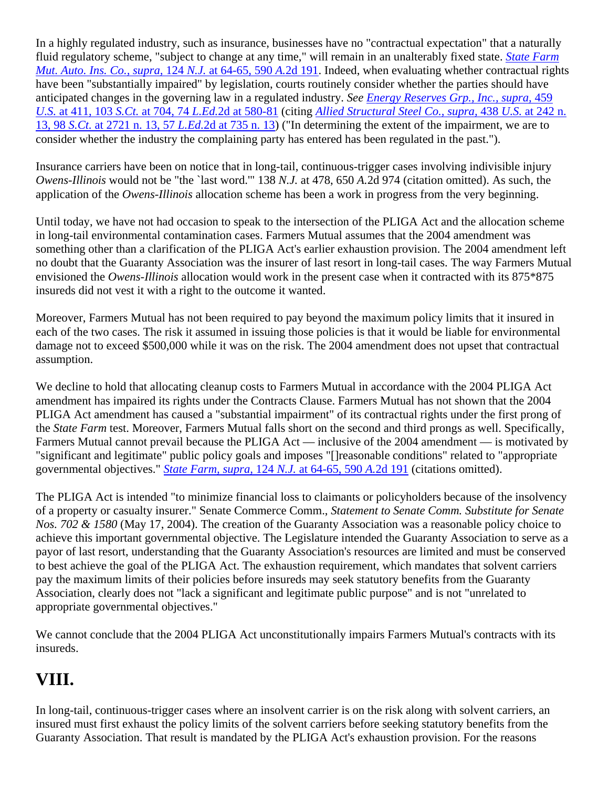In a highly regulated industry, such as insurance, businesses have no "contractual expectation" that a naturally fluid regulatory scheme, "subject to change at any time," will remain in an unalterably fixed state. *State Farm Mut. Auto. Ins. Co., supra,* 124 *N.J.* at 64-65, 590 *A.*2d 191. Indeed, when evaluating whether contractual rights have been "substantially impaired" by legislation, courts routinely consider whether the parties should have anticipated changes in the governing law in a regulated industry. *See Energy Reserves Grp., Inc., supra,* 459 *U.S.* at 411, 103 *S.Ct.* at 704, 74 *L.Ed.*2d at 580-81 (citing *Allied Structural Steel Co., supra,* 438 *U.S.* at 242 n. 13, 98 *S.Ct.* at 2721 n. 13, 57 *L.Ed.*2d at 735 n. 13) ("In determining the extent of the impairment, we are to consider whether the industry the complaining party has entered has been regulated in the past.").

Insurance carriers have been on notice that in long-tail, continuous-trigger cases involving indivisible injury *Owens-Illinois* would not be "the `last word.'" 138 *N.J.* at 478, 650 *A.*2d 974 (citation omitted). As such, the application of the *Owens-Illinois* allocation scheme has been a work in progress from the very beginning.

Until today, we have not had occasion to speak to the intersection of the PLIGA Act and the allocation scheme in long-tail environmental contamination cases. Farmers Mutual assumes that the 2004 amendment was something other than a clarification of the PLIGA Act's earlier exhaustion provision. The 2004 amendment left no doubt that the Guaranty Association was the insurer of last resort in long-tail cases. The way Farmers Mutual envisioned the *Owens-Illinois* allocation would work in the present case when it contracted with its 875\*875 insureds did not vest it with a right to the outcome it wanted.

Moreover, Farmers Mutual has not been required to pay beyond the maximum policy limits that it insured in each of the two cases. The risk it assumed in issuing those policies is that it would be liable for environmental damage not to exceed \$500,000 while it was on the risk. The 2004 amendment does not upset that contractual assumption.

We decline to hold that allocating cleanup costs to Farmers Mutual in accordance with the 2004 PLIGA Act amendment has impaired its rights under the Contracts Clause. Farmers Mutual has not shown that the 2004 PLIGA Act amendment has caused a "substantial impairment" of its contractual rights under the first prong of the *State Farm* test. Moreover, Farmers Mutual falls short on the second and third prongs as well. Specifically, Farmers Mutual cannot prevail because the PLIGA Act — inclusive of the 2004 amendment — is motivated by "significant and legitimate" public policy goals and imposes "[]reasonable conditions" related to "appropriate governmental objectives." *State Farm, supra,* 124 *N.J.* at 64-65, 590 *A.*2d 191 (citations omitted).

The PLIGA Act is intended "to minimize financial loss to claimants or policyholders because of the insolvency of a property or casualty insurer." Senate Commerce Comm., *Statement to Senate Comm. Substitute for Senate Nos. 702 & 1580* (May 17, 2004). The creation of the Guaranty Association was a reasonable policy choice to achieve this important governmental objective. The Legislature intended the Guaranty Association to serve as a payor of last resort, understanding that the Guaranty Association's resources are limited and must be conserved to best achieve the goal of the PLIGA Act. The exhaustion requirement, which mandates that solvent carriers pay the maximum limits of their policies before insureds may seek statutory benefits from the Guaranty Association, clearly does not "lack a significant and legitimate public purpose" and is not "unrelated to appropriate governmental objectives."

We cannot conclude that the 2004 PLIGA Act unconstitutionally impairs Farmers Mutual's contracts with its insureds.

## **VIII.**

In long-tail, continuous-trigger cases where an insolvent carrier is on the risk along with solvent carriers, an insured must first exhaust the policy limits of the solvent carriers before seeking statutory benefits from the Guaranty Association. That result is mandated by the PLIGA Act's exhaustion provision. For the reasons